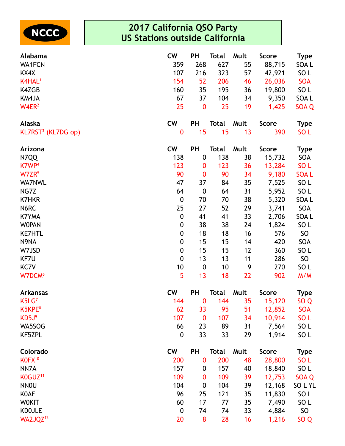

| Alabama                        | <b>CW</b>        | <b>PH</b>        | <b>Total</b> | Mult | <b>Score</b> | <b>Type</b>     |
|--------------------------------|------------------|------------------|--------------|------|--------------|-----------------|
| <b>WA1FCN</b>                  | 359              | 268              | 627          | 55   | 88,715       | SOA L           |
| KX4X                           | 107              | 216              | 323          | 57   | 42,921       | SO <sub>L</sub> |
| K4HAL <sup>1</sup>             | 154              | 52               | 206          | 46   | 26,036       | <b>SOA</b>      |
| K4ZGB                          | 160              | 35               | 195          | 36   | 19,800       | SO <sub>L</sub> |
| KM4JA                          | 67               | 37               | 104          | 34   | 9,350        | SOA L           |
| W4ER <sup>2</sup>              | 25               | $\bf{0}$         | 25           | 19   | 1,425        | SOA Q           |
| Alaska                         | <b>CW</b>        | PH               | <b>Total</b> | Mult | <b>Score</b> | <b>Type</b>     |
| KL7RST <sup>3</sup> (KL7DG op) | $\bf{0}$         | 15               | 15           | 13   | 390          | SO <sub>L</sub> |
| Arizona                        | <b>CW</b>        | PH               | <b>Total</b> | Mult | <b>Score</b> | <b>Type</b>     |
| N7QQ                           | 138              | $\boldsymbol{0}$ | 138          | 38   | 15,732       | SOA             |
| K7WP <sup>4</sup>              | 123              | 0                | 123          | 36   | 13,284       | SO <sub>L</sub> |
| W7ZR <sup>5</sup>              | 90               | $\bf{0}$         | 90           | 34   | 9,180        | <b>SOAL</b>     |
| <b>WA7NWL</b>                  | 47               | 37               | 84           | 35   | 7,525        | SO <sub>L</sub> |
| NG7Z                           | 64               | $\boldsymbol{0}$ | 64           | 31   | 5,952        | SO <sub>L</sub> |
| <b>K7HKR</b>                   | $\boldsymbol{0}$ | 70               | 70           | 38   | 5,320        | SOA L           |
| N6RC                           | 25               | 27               | 52           | 29   | 3,741        | SOA             |
| <b>K7YMA</b>                   | $\boldsymbol{0}$ | 41               | 41           | 33   | 2,706        | SOA L           |
| <b>WOPAN</b>                   | $\boldsymbol{0}$ | 38               | 38           | 24   | 1,824        | SO <sub>L</sub> |
| <b>KE7HTL</b>                  | $\boldsymbol{0}$ | 18               | 18           | 16   | 576          | SO              |
| N9NA                           | $\boldsymbol{0}$ | 15               | 15           | 14   | 420          | SOA             |
| W7JSD                          | $\boldsymbol{0}$ | 15               | 15           | 12   | 360          | SO <sub>L</sub> |
| KF7U                           | $\mathbf 0$      | 13               | 13           | 11   | 286          | <b>SO</b>       |
| KC7V                           | 10               | $\boldsymbol{0}$ | 10           | 9    | 270          | SO <sub>L</sub> |
| W7DCM <sup>6</sup>             | 5                | 13               | 18           | 22   | 902          | M/M             |
| <b>Arkansas</b>                | <b>CW</b>        | PH               | Total        | Mult | <b>Score</b> | <b>Type</b>     |
| K5LG <sup>7</sup>              | 144              | $\bf{0}$         | 144          | 35   | 15,120       | SO <sub>Q</sub> |
| K5KPE <sup>8</sup>             | 62               | 33               | 95           | 51   | 12,852       | <b>SOA</b>      |
| KD5J <sup>9</sup>              | 107              | $\bf{0}$         | 107          | 34   | 10,914       | SO <sub>L</sub> |
| WA5SOG                         | 66               | 23               | 89           | 31   | 7,564        | SO <sub>L</sub> |
| KF5ZPL                         | $\boldsymbol{0}$ | 33               | 33           | 29   | 1,914        | SO <sub>L</sub> |
| Colorado                       | <b>CW</b>        | <b>PH</b>        | <b>Total</b> | Mult | <b>Score</b> | <b>Type</b>     |
| KOFX <sup>10</sup>             | 200              | $\bf{0}$         | 200          | 48   | 28,800       | SO <sub>L</sub> |
| NN7A                           | 157              | 0                | 157          | 40   | 18,840       | SO <sub>L</sub> |
| K0GUZ <sup>11</sup>            | 109              | 0                | 109          | 39   | 12,753       | SOA Q           |
| <b>NNOU</b>                    | 104              | $\boldsymbol{0}$ | 104          | 39   | 12,168       | SOLYL           |
| <b>KOAE</b>                    | 96               | 25               | 121          | 35   | 11,830       | SO <sub>L</sub> |
| <b>WOKIT</b>                   | 60               | 17               | 77           | 35   | 7,490        | SO <sub>L</sub> |
| <b>KDOJLE</b>                  | $\boldsymbol{0}$ | 74               | 74           | 33   | 4,884        | SO              |
| WA2JQZ <sup>12</sup>           | 20               | 8                | 28           | 16   | 1,216        | SO Q            |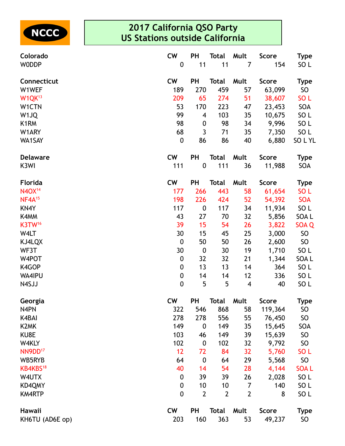

| <b>CW</b><br><b>PH</b><br><b>Total</b><br>Mult<br>Connecticut<br><b>Score</b><br><b>Type</b><br>189<br>459<br>W1WEF<br>270<br>57<br>63,099<br>SO<br>W1QK <sup>13</sup><br>209<br>65<br>274<br>51<br>SO <sub>L</sub><br>38,607<br>SOA<br>53<br>170<br>223<br>23,453<br>W1CTN<br>47<br>99<br>103<br>35<br>SO <sub>L</sub><br>W <sub>1JQ</sub><br>10,675<br>4<br>98<br>9,996<br>SO <sub>L</sub><br>K <sub>1</sub> RM<br>98<br>34<br>0<br>SO <sub>L</sub><br>W1ARY<br>68<br>3<br>71<br>35<br>7,350<br>WA1SAY<br>$\boldsymbol{0}$<br>86<br>86<br>40<br>6,880<br><b>CW</b><br><b>PH</b><br><b>Total</b><br>Mult<br><b>Score</b><br><b>Type</b><br><b>Delaware</b><br>K <sub>3</sub> WI<br>111<br>$\boldsymbol{0}$<br>111<br>36<br>SOA<br>11,988<br><b>CW</b><br><b>PH</b><br>Florida<br><b>Total</b><br>Mult<br><b>Score</b><br><b>Type</b><br>N40X <sup>14</sup><br>266<br>58<br>177<br>443<br>61,654<br>SO <sub>L</sub><br>NF4A <sup>15</sup><br>198<br>226<br>424<br>52<br><b>SOA</b><br>54,392<br>SO <sub>L</sub><br>KN4Y<br>117<br>$\boldsymbol{0}$<br>117<br>11,934<br>34<br>K4MM<br>43<br>32<br>27<br>70<br>5,856<br>SOA L<br>K3TW <sup>16</sup><br>15<br>39<br>54<br>26<br>3,822<br>SOA <sub>Q</sub><br>25<br><b>SO</b><br>W4LT<br>30<br>15<br>45<br>3,000<br>$\boldsymbol{0}$<br>50<br>50<br>26<br>2,600<br><b>SO</b><br>KJ4LQX<br>19<br>SO <sub>L</sub><br>WF3T<br>30<br>30<br>$\boldsymbol{0}$<br>1,710<br>SOA L<br>$\boldsymbol{0}$<br>32<br>32<br>21<br>1,344<br>W4POT<br>13<br>SO <sub>L</sub><br>K4GOP<br>$\boldsymbol{0}$<br>13<br>14<br>364<br>WA4IPU<br>$\boldsymbol{0}$<br>12<br>336<br>SO <sub>L</sub><br>14<br>14<br>5<br>$\boldsymbol{0}$<br>5<br>SO <sub>L</sub><br>N4SJJ<br>4<br>40<br><b>CW</b><br>PH<br><b>Score</b><br><b>Type</b><br>Georgia<br>Total<br>Mult<br>N4PN<br>322<br>868<br>58<br>119,364<br>SO<br>546<br>278<br><b>SO</b><br>K4BAI<br>278<br>556<br>55<br>76,450<br>149<br>K <sub>2</sub> MK<br>149<br>SOA<br>$\boldsymbol{0}$<br>35<br>15,645<br>KU8E<br>103<br><b>SO</b><br>149<br>39<br>15,639<br>46<br>102<br>102<br><b>SO</b><br>W4KLY<br>32<br>9,792<br>$\boldsymbol{0}$<br>NN9DD <sup>17</sup><br>12<br>72<br>84<br>32<br>SO <sub>L</sub><br>5,760<br><b>SO</b><br>WB5RYB<br>29<br>5,568<br>64<br>$\boldsymbol{0}$<br>64<br>KB4KBS <sup>18</sup><br>40<br>54<br>28<br><b>SOAL</b><br>14<br>4,144<br>39<br>39<br>SO <sub>L</sub><br>W4UTX<br>26<br>2,028<br>$\boldsymbol{0}$<br>SO <sub>L</sub><br>KD4QMY<br>$\boldsymbol{0}$<br>10<br>10<br>7<br>140<br>$\overline{2}$<br>$\overline{2}$<br>SO <sub>L</sub><br><b>KM4RTP</b><br>0<br>$\overline{2}$<br>8<br><b>CW</b><br><b>PH</b><br>Mult<br><b>Total</b><br><b>Score</b><br><b>Type</b><br>Hawaii | Colorado<br><b>WODDP</b> | <b>CW</b><br>$\boldsymbol{0}$ | PH<br>11 | <b>Total</b><br>11 | Mult<br>7 | <b>Score</b><br>154 | <b>Type</b><br>SO <sub>L</sub> |
|----------------------------------------------------------------------------------------------------------------------------------------------------------------------------------------------------------------------------------------------------------------------------------------------------------------------------------------------------------------------------------------------------------------------------------------------------------------------------------------------------------------------------------------------------------------------------------------------------------------------------------------------------------------------------------------------------------------------------------------------------------------------------------------------------------------------------------------------------------------------------------------------------------------------------------------------------------------------------------------------------------------------------------------------------------------------------------------------------------------------------------------------------------------------------------------------------------------------------------------------------------------------------------------------------------------------------------------------------------------------------------------------------------------------------------------------------------------------------------------------------------------------------------------------------------------------------------------------------------------------------------------------------------------------------------------------------------------------------------------------------------------------------------------------------------------------------------------------------------------------------------------------------------------------------------------------------------------------------------------------------------------------------------------------------------------------------------------------------------------------------------------------------------------------------------------------------------------------------------------------------------------------------------------------------------------------------------------------------------------------------------------------------------------------------------------------------------------------------------------------------------------------------------------------------------------------------------------------------------------------------------------------------------------------------------------------|--------------------------|-------------------------------|----------|--------------------|-----------|---------------------|--------------------------------|
|                                                                                                                                                                                                                                                                                                                                                                                                                                                                                                                                                                                                                                                                                                                                                                                                                                                                                                                                                                                                                                                                                                                                                                                                                                                                                                                                                                                                                                                                                                                                                                                                                                                                                                                                                                                                                                                                                                                                                                                                                                                                                                                                                                                                                                                                                                                                                                                                                                                                                                                                                                                                                                                                                              |                          |                               |          |                    |           |                     |                                |
|                                                                                                                                                                                                                                                                                                                                                                                                                                                                                                                                                                                                                                                                                                                                                                                                                                                                                                                                                                                                                                                                                                                                                                                                                                                                                                                                                                                                                                                                                                                                                                                                                                                                                                                                                                                                                                                                                                                                                                                                                                                                                                                                                                                                                                                                                                                                                                                                                                                                                                                                                                                                                                                                                              |                          |                               |          |                    |           |                     |                                |
|                                                                                                                                                                                                                                                                                                                                                                                                                                                                                                                                                                                                                                                                                                                                                                                                                                                                                                                                                                                                                                                                                                                                                                                                                                                                                                                                                                                                                                                                                                                                                                                                                                                                                                                                                                                                                                                                                                                                                                                                                                                                                                                                                                                                                                                                                                                                                                                                                                                                                                                                                                                                                                                                                              |                          |                               |          |                    |           |                     |                                |
|                                                                                                                                                                                                                                                                                                                                                                                                                                                                                                                                                                                                                                                                                                                                                                                                                                                                                                                                                                                                                                                                                                                                                                                                                                                                                                                                                                                                                                                                                                                                                                                                                                                                                                                                                                                                                                                                                                                                                                                                                                                                                                                                                                                                                                                                                                                                                                                                                                                                                                                                                                                                                                                                                              |                          |                               |          |                    |           |                     |                                |
|                                                                                                                                                                                                                                                                                                                                                                                                                                                                                                                                                                                                                                                                                                                                                                                                                                                                                                                                                                                                                                                                                                                                                                                                                                                                                                                                                                                                                                                                                                                                                                                                                                                                                                                                                                                                                                                                                                                                                                                                                                                                                                                                                                                                                                                                                                                                                                                                                                                                                                                                                                                                                                                                                              |                          |                               |          |                    |           |                     |                                |
|                                                                                                                                                                                                                                                                                                                                                                                                                                                                                                                                                                                                                                                                                                                                                                                                                                                                                                                                                                                                                                                                                                                                                                                                                                                                                                                                                                                                                                                                                                                                                                                                                                                                                                                                                                                                                                                                                                                                                                                                                                                                                                                                                                                                                                                                                                                                                                                                                                                                                                                                                                                                                                                                                              |                          |                               |          |                    |           |                     |                                |
|                                                                                                                                                                                                                                                                                                                                                                                                                                                                                                                                                                                                                                                                                                                                                                                                                                                                                                                                                                                                                                                                                                                                                                                                                                                                                                                                                                                                                                                                                                                                                                                                                                                                                                                                                                                                                                                                                                                                                                                                                                                                                                                                                                                                                                                                                                                                                                                                                                                                                                                                                                                                                                                                                              |                          |                               |          |                    |           |                     |                                |
|                                                                                                                                                                                                                                                                                                                                                                                                                                                                                                                                                                                                                                                                                                                                                                                                                                                                                                                                                                                                                                                                                                                                                                                                                                                                                                                                                                                                                                                                                                                                                                                                                                                                                                                                                                                                                                                                                                                                                                                                                                                                                                                                                                                                                                                                                                                                                                                                                                                                                                                                                                                                                                                                                              |                          |                               |          |                    |           |                     | SOLYL                          |
|                                                                                                                                                                                                                                                                                                                                                                                                                                                                                                                                                                                                                                                                                                                                                                                                                                                                                                                                                                                                                                                                                                                                                                                                                                                                                                                                                                                                                                                                                                                                                                                                                                                                                                                                                                                                                                                                                                                                                                                                                                                                                                                                                                                                                                                                                                                                                                                                                                                                                                                                                                                                                                                                                              |                          |                               |          |                    |           |                     |                                |
|                                                                                                                                                                                                                                                                                                                                                                                                                                                                                                                                                                                                                                                                                                                                                                                                                                                                                                                                                                                                                                                                                                                                                                                                                                                                                                                                                                                                                                                                                                                                                                                                                                                                                                                                                                                                                                                                                                                                                                                                                                                                                                                                                                                                                                                                                                                                                                                                                                                                                                                                                                                                                                                                                              |                          |                               |          |                    |           |                     |                                |
|                                                                                                                                                                                                                                                                                                                                                                                                                                                                                                                                                                                                                                                                                                                                                                                                                                                                                                                                                                                                                                                                                                                                                                                                                                                                                                                                                                                                                                                                                                                                                                                                                                                                                                                                                                                                                                                                                                                                                                                                                                                                                                                                                                                                                                                                                                                                                                                                                                                                                                                                                                                                                                                                                              |                          |                               |          |                    |           |                     |                                |
|                                                                                                                                                                                                                                                                                                                                                                                                                                                                                                                                                                                                                                                                                                                                                                                                                                                                                                                                                                                                                                                                                                                                                                                                                                                                                                                                                                                                                                                                                                                                                                                                                                                                                                                                                                                                                                                                                                                                                                                                                                                                                                                                                                                                                                                                                                                                                                                                                                                                                                                                                                                                                                                                                              |                          |                               |          |                    |           |                     |                                |
|                                                                                                                                                                                                                                                                                                                                                                                                                                                                                                                                                                                                                                                                                                                                                                                                                                                                                                                                                                                                                                                                                                                                                                                                                                                                                                                                                                                                                                                                                                                                                                                                                                                                                                                                                                                                                                                                                                                                                                                                                                                                                                                                                                                                                                                                                                                                                                                                                                                                                                                                                                                                                                                                                              |                          |                               |          |                    |           |                     |                                |
|                                                                                                                                                                                                                                                                                                                                                                                                                                                                                                                                                                                                                                                                                                                                                                                                                                                                                                                                                                                                                                                                                                                                                                                                                                                                                                                                                                                                                                                                                                                                                                                                                                                                                                                                                                                                                                                                                                                                                                                                                                                                                                                                                                                                                                                                                                                                                                                                                                                                                                                                                                                                                                                                                              |                          |                               |          |                    |           |                     |                                |
|                                                                                                                                                                                                                                                                                                                                                                                                                                                                                                                                                                                                                                                                                                                                                                                                                                                                                                                                                                                                                                                                                                                                                                                                                                                                                                                                                                                                                                                                                                                                                                                                                                                                                                                                                                                                                                                                                                                                                                                                                                                                                                                                                                                                                                                                                                                                                                                                                                                                                                                                                                                                                                                                                              |                          |                               |          |                    |           |                     |                                |
|                                                                                                                                                                                                                                                                                                                                                                                                                                                                                                                                                                                                                                                                                                                                                                                                                                                                                                                                                                                                                                                                                                                                                                                                                                                                                                                                                                                                                                                                                                                                                                                                                                                                                                                                                                                                                                                                                                                                                                                                                                                                                                                                                                                                                                                                                                                                                                                                                                                                                                                                                                                                                                                                                              |                          |                               |          |                    |           |                     |                                |
|                                                                                                                                                                                                                                                                                                                                                                                                                                                                                                                                                                                                                                                                                                                                                                                                                                                                                                                                                                                                                                                                                                                                                                                                                                                                                                                                                                                                                                                                                                                                                                                                                                                                                                                                                                                                                                                                                                                                                                                                                                                                                                                                                                                                                                                                                                                                                                                                                                                                                                                                                                                                                                                                                              |                          |                               |          |                    |           |                     |                                |
|                                                                                                                                                                                                                                                                                                                                                                                                                                                                                                                                                                                                                                                                                                                                                                                                                                                                                                                                                                                                                                                                                                                                                                                                                                                                                                                                                                                                                                                                                                                                                                                                                                                                                                                                                                                                                                                                                                                                                                                                                                                                                                                                                                                                                                                                                                                                                                                                                                                                                                                                                                                                                                                                                              |                          |                               |          |                    |           |                     |                                |
|                                                                                                                                                                                                                                                                                                                                                                                                                                                                                                                                                                                                                                                                                                                                                                                                                                                                                                                                                                                                                                                                                                                                                                                                                                                                                                                                                                                                                                                                                                                                                                                                                                                                                                                                                                                                                                                                                                                                                                                                                                                                                                                                                                                                                                                                                                                                                                                                                                                                                                                                                                                                                                                                                              |                          |                               |          |                    |           |                     |                                |
|                                                                                                                                                                                                                                                                                                                                                                                                                                                                                                                                                                                                                                                                                                                                                                                                                                                                                                                                                                                                                                                                                                                                                                                                                                                                                                                                                                                                                                                                                                                                                                                                                                                                                                                                                                                                                                                                                                                                                                                                                                                                                                                                                                                                                                                                                                                                                                                                                                                                                                                                                                                                                                                                                              |                          |                               |          |                    |           |                     |                                |
|                                                                                                                                                                                                                                                                                                                                                                                                                                                                                                                                                                                                                                                                                                                                                                                                                                                                                                                                                                                                                                                                                                                                                                                                                                                                                                                                                                                                                                                                                                                                                                                                                                                                                                                                                                                                                                                                                                                                                                                                                                                                                                                                                                                                                                                                                                                                                                                                                                                                                                                                                                                                                                                                                              |                          |                               |          |                    |           |                     |                                |
|                                                                                                                                                                                                                                                                                                                                                                                                                                                                                                                                                                                                                                                                                                                                                                                                                                                                                                                                                                                                                                                                                                                                                                                                                                                                                                                                                                                                                                                                                                                                                                                                                                                                                                                                                                                                                                                                                                                                                                                                                                                                                                                                                                                                                                                                                                                                                                                                                                                                                                                                                                                                                                                                                              |                          |                               |          |                    |           |                     |                                |
|                                                                                                                                                                                                                                                                                                                                                                                                                                                                                                                                                                                                                                                                                                                                                                                                                                                                                                                                                                                                                                                                                                                                                                                                                                                                                                                                                                                                                                                                                                                                                                                                                                                                                                                                                                                                                                                                                                                                                                                                                                                                                                                                                                                                                                                                                                                                                                                                                                                                                                                                                                                                                                                                                              |                          |                               |          |                    |           |                     |                                |
|                                                                                                                                                                                                                                                                                                                                                                                                                                                                                                                                                                                                                                                                                                                                                                                                                                                                                                                                                                                                                                                                                                                                                                                                                                                                                                                                                                                                                                                                                                                                                                                                                                                                                                                                                                                                                                                                                                                                                                                                                                                                                                                                                                                                                                                                                                                                                                                                                                                                                                                                                                                                                                                                                              |                          |                               |          |                    |           |                     |                                |
|                                                                                                                                                                                                                                                                                                                                                                                                                                                                                                                                                                                                                                                                                                                                                                                                                                                                                                                                                                                                                                                                                                                                                                                                                                                                                                                                                                                                                                                                                                                                                                                                                                                                                                                                                                                                                                                                                                                                                                                                                                                                                                                                                                                                                                                                                                                                                                                                                                                                                                                                                                                                                                                                                              |                          |                               |          |                    |           |                     |                                |
|                                                                                                                                                                                                                                                                                                                                                                                                                                                                                                                                                                                                                                                                                                                                                                                                                                                                                                                                                                                                                                                                                                                                                                                                                                                                                                                                                                                                                                                                                                                                                                                                                                                                                                                                                                                                                                                                                                                                                                                                                                                                                                                                                                                                                                                                                                                                                                                                                                                                                                                                                                                                                                                                                              |                          |                               |          |                    |           |                     |                                |
|                                                                                                                                                                                                                                                                                                                                                                                                                                                                                                                                                                                                                                                                                                                                                                                                                                                                                                                                                                                                                                                                                                                                                                                                                                                                                                                                                                                                                                                                                                                                                                                                                                                                                                                                                                                                                                                                                                                                                                                                                                                                                                                                                                                                                                                                                                                                                                                                                                                                                                                                                                                                                                                                                              |                          |                               |          |                    |           |                     |                                |
|                                                                                                                                                                                                                                                                                                                                                                                                                                                                                                                                                                                                                                                                                                                                                                                                                                                                                                                                                                                                                                                                                                                                                                                                                                                                                                                                                                                                                                                                                                                                                                                                                                                                                                                                                                                                                                                                                                                                                                                                                                                                                                                                                                                                                                                                                                                                                                                                                                                                                                                                                                                                                                                                                              |                          |                               |          |                    |           |                     |                                |
|                                                                                                                                                                                                                                                                                                                                                                                                                                                                                                                                                                                                                                                                                                                                                                                                                                                                                                                                                                                                                                                                                                                                                                                                                                                                                                                                                                                                                                                                                                                                                                                                                                                                                                                                                                                                                                                                                                                                                                                                                                                                                                                                                                                                                                                                                                                                                                                                                                                                                                                                                                                                                                                                                              |                          |                               |          |                    |           |                     |                                |
|                                                                                                                                                                                                                                                                                                                                                                                                                                                                                                                                                                                                                                                                                                                                                                                                                                                                                                                                                                                                                                                                                                                                                                                                                                                                                                                                                                                                                                                                                                                                                                                                                                                                                                                                                                                                                                                                                                                                                                                                                                                                                                                                                                                                                                                                                                                                                                                                                                                                                                                                                                                                                                                                                              |                          |                               |          |                    |           |                     |                                |
|                                                                                                                                                                                                                                                                                                                                                                                                                                                                                                                                                                                                                                                                                                                                                                                                                                                                                                                                                                                                                                                                                                                                                                                                                                                                                                                                                                                                                                                                                                                                                                                                                                                                                                                                                                                                                                                                                                                                                                                                                                                                                                                                                                                                                                                                                                                                                                                                                                                                                                                                                                                                                                                                                              |                          |                               |          |                    |           |                     |                                |
|                                                                                                                                                                                                                                                                                                                                                                                                                                                                                                                                                                                                                                                                                                                                                                                                                                                                                                                                                                                                                                                                                                                                                                                                                                                                                                                                                                                                                                                                                                                                                                                                                                                                                                                                                                                                                                                                                                                                                                                                                                                                                                                                                                                                                                                                                                                                                                                                                                                                                                                                                                                                                                                                                              |                          |                               |          |                    |           |                     |                                |
|                                                                                                                                                                                                                                                                                                                                                                                                                                                                                                                                                                                                                                                                                                                                                                                                                                                                                                                                                                                                                                                                                                                                                                                                                                                                                                                                                                                                                                                                                                                                                                                                                                                                                                                                                                                                                                                                                                                                                                                                                                                                                                                                                                                                                                                                                                                                                                                                                                                                                                                                                                                                                                                                                              |                          |                               |          |                    |           |                     |                                |
|                                                                                                                                                                                                                                                                                                                                                                                                                                                                                                                                                                                                                                                                                                                                                                                                                                                                                                                                                                                                                                                                                                                                                                                                                                                                                                                                                                                                                                                                                                                                                                                                                                                                                                                                                                                                                                                                                                                                                                                                                                                                                                                                                                                                                                                                                                                                                                                                                                                                                                                                                                                                                                                                                              |                          |                               |          |                    |           |                     |                                |
|                                                                                                                                                                                                                                                                                                                                                                                                                                                                                                                                                                                                                                                                                                                                                                                                                                                                                                                                                                                                                                                                                                                                                                                                                                                                                                                                                                                                                                                                                                                                                                                                                                                                                                                                                                                                                                                                                                                                                                                                                                                                                                                                                                                                                                                                                                                                                                                                                                                                                                                                                                                                                                                                                              |                          |                               |          |                    |           |                     |                                |
| 203<br>363<br><b>SO</b><br>KH6TU (AD6E op)<br>160<br>53<br>49,237                                                                                                                                                                                                                                                                                                                                                                                                                                                                                                                                                                                                                                                                                                                                                                                                                                                                                                                                                                                                                                                                                                                                                                                                                                                                                                                                                                                                                                                                                                                                                                                                                                                                                                                                                                                                                                                                                                                                                                                                                                                                                                                                                                                                                                                                                                                                                                                                                                                                                                                                                                                                                            |                          |                               |          |                    |           |                     |                                |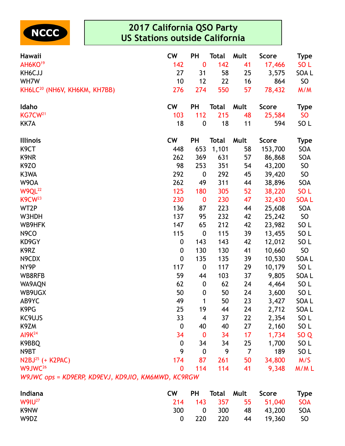

| Hawaii                                             | <b>CW</b>   | <b>PH</b>        | <b>Total</b> | Mult | <b>Score</b> | <b>Type</b>     |
|----------------------------------------------------|-------------|------------------|--------------|------|--------------|-----------------|
| AH6KO <sup>19</sup>                                | 142         | $\bf{0}$         | 142          | 41   | 17,466       | SO <sub>L</sub> |
| KH6CJJ                                             | 27          | 31               | 58           | 25   | 3,575        | SOA L           |
| WH7W                                               | 10          | 12               | 22           | 16   | 864          | <b>SO</b>       |
| KH6LC <sup>20</sup> (NH6V, KH6KM, KH7BB)           | 276         | 274              | 550          | 57   | 78,432       | M/M             |
| Idaho                                              | <b>CW</b>   | <b>PH</b>        | <b>Total</b> | Mult | <b>Score</b> | Type            |
| KG7CW <sup>21</sup>                                | 103         | 112              | 215          | 48   | 25,584       | <b>SO</b>       |
| KK7A                                               | 18          | $\pmb{0}$        | 18           | 11   | 594          | SO <sub>L</sub> |
| <b>Illinois</b>                                    | <b>CW</b>   | <b>PH</b>        | <b>Total</b> | Mult | <b>Score</b> | Type            |
| K <sub>9</sub> CT                                  | 448         | 653              | 1,101        | 58   | 153,700      | SOA             |
| K9NR                                               | 262         | 369              | 631          | 57   | 86,868       | SOA             |
| K <sub>9</sub> ZO                                  | 98          | 253              | 351          | 54   | 43,200       | SO              |
| K3WA                                               | 292         | $\boldsymbol{0}$ | 292          | 45   | 39,420       | SO <sub>1</sub> |
| W9OA                                               | 262         | 49               | 311          | 44   | 38,896       | SOA             |
| W9QL <sup>22</sup>                                 | 125         | 180              | 305          | 52   | 38,220       | SO <sub>L</sub> |
| <b>K9CW</b> <sup>23</sup>                          | 230         | $\boldsymbol{0}$ | 230          | 47   | 32,430       | <b>SOAL</b>     |
| WT2P                                               | 136         | 87               | 223          | 44   | 25,608       | SOA             |
| W3HDH                                              | 137         | 95               | 232          | 42   | 25,242       | SO <sub>1</sub> |
| WB9HFK                                             | 147         | 65               | 212          | 42   | 23,982       | SO <sub>L</sub> |
| N <sub>9</sub> CO                                  | 115         | $\boldsymbol{0}$ | 115          | 39   | 13,455       | SO <sub>L</sub> |
| KD9GY                                              | 0           | 143              | 143          | 42   | 12,012       | SO <sub>L</sub> |
| K9RZ                                               | 0           | 130              | 130          | 41   | 10,660       | SO <sub>1</sub> |
| N9CDX                                              | $\mathbf 0$ | 135              | 135          | 39   | 10,530       | SOA L           |
| NY9P                                               | 117         | $\boldsymbol{0}$ | 117          | 29   | 10,179       | SO <sub>L</sub> |
| WB8RFB                                             | 59          | 44               | 103          | 37   | 9,805        | SOA L           |
| WA9AQN                                             | 62          | $\boldsymbol{0}$ | 62           | 24   | 4,464        | SO <sub>L</sub> |
| WB9UGX                                             | 50          | $\boldsymbol{0}$ | 50           | 24   | 3,600        | SO <sub>L</sub> |
| AB9YC                                              | 49          | 1                | 50           | 23   | 3,427        | SOA L           |
| K9PG                                               | 25          | 19               | 44           | 24   | 2,712        | SOA L           |
| KC9UJS                                             | 33          | 4                | 37           | 22   | 2,354        | SO <sub>L</sub> |
| K9ZM                                               | 0           | 40               | 40           | 27   | 2,160        | SO <sub>L</sub> |
| AI9K <sup>24</sup>                                 | 34          | $\bf{0}$         | 34           | 17   | 1,734        | SO <sub>Q</sub> |
| K9BBQ                                              | 0           | 34               | 34           | 25   | 1,700        | SO <sub>L</sub> |
| N9BT                                               | 9           | 0                | 9            | 7    | 189          | SO <sub>L</sub> |
| $N2BJ25$ (+ K2PAC)                                 | 174         | 87               | 261          | 50   | 34,800       | M/S             |
| W9JWC <sup>26</sup>                                | 0           | 114              | 114          | 41   | 9,348        | M/ML            |
| W9JWC ops = KD9ERP, KD9EVJ, KD9JIO, KM6MWD, KC9RGW |             |                  |              |      |              |                 |

| Indiana     | CW.      | <b>PH</b>      |  | <b>Total Mult Score</b> | <b>Type</b> |
|-------------|----------|----------------|--|-------------------------|-------------|
| $W9IU^{27}$ |          |                |  | 214 143 357 55 51,040   | <b>SOA</b>  |
| K9NW        | 300      | $\overline{0}$ |  | 300 48 43,200           | SOA         |
| W9DZ        | $\Omega$ |                |  | 220 220 44 19,360       | - SO        |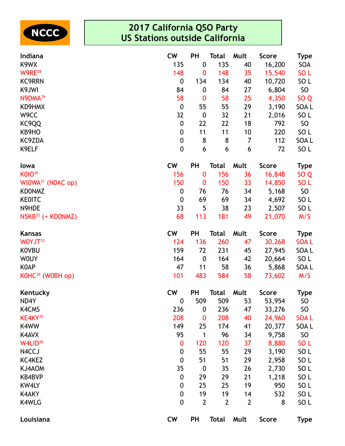

| Indiana                       | <b>CW</b>        | <b>PH</b>        | <b>Total</b>   | Mult           | <b>Score</b> | Type            |
|-------------------------------|------------------|------------------|----------------|----------------|--------------|-----------------|
| K9WX                          | 135              | $\boldsymbol{0}$ | 135            | 40             | 16,200       | SOA             |
| W9RE <sup>28</sup>            | 148              | $\bf{0}$         | 148            | 35             | 15,540       | SO <sub>L</sub> |
| <b>KC9RRN</b>                 | 0                | 134              | 134            | 40             | 10,720       | SO <sub>L</sub> |
| K9JWI                         | 84               | $\boldsymbol{0}$ | 84             | 27             | 6,804        | SO <sub>1</sub> |
| N9DMA <sup>29</sup>           | 58               | $\boldsymbol{0}$ | 58             | 25             | 4,350        | SO <sub>Q</sub> |
| KD9HMX                        | $\boldsymbol{0}$ | 55               | 55             | 29             | 3,190        | SOA L           |
| W9CC                          | 32               | $\boldsymbol{0}$ | 32             | 21             | 2,016        | SO <sub>L</sub> |
| KC9QQ                         | 0                | 22               | 22             | 18             | 792          | SO              |
| KB9HO                         | $\boldsymbol{0}$ | 11               | 11             | 10             | 220          | SO <sub>L</sub> |
| KC9ZDA                        | 0                | 8                | 8              | 7              | 112          | SOA L           |
| K9ELF                         | 0                | 6                | 6              | 6              | 72           | SO <sub>L</sub> |
| lowa                          | <b>CW</b>        | <b>PH</b>        | <b>Total</b>   | Mult           | <b>Score</b> | <b>Type</b>     |
| <b>K01030</b>                 | 156              | $\bf{0}$         | 156            | 36             | 16,848       | SO <sub>Q</sub> |
| WIOWA <sup>31</sup> (NOAC op) | 150              | $\boldsymbol{0}$ | 150            | 33             | 14,850       | SO L            |
| <b>KDONMZ</b>                 | 0                | 76               | 76             | 34             | 5,168        | SO <sub>1</sub> |
| <b>KEOITC</b>                 | $\boldsymbol{0}$ | 69               | 69             | 34             | 4,692        | SO <sub>L</sub> |
| N9HDE                         | 33               | 5                | 38             | 23             | 2,507        | SO <sub>L</sub> |
| N5KB <sup>32</sup> (+ KD0NMZ) | 68               | 113              | 181            | 49             | 21,070       | M/S             |
| <b>Kansas</b>                 | <b>CW</b>        | <b>PH</b>        | Total          | Mult           | <b>Score</b> | <b>Type</b>     |
| WOYJT33                       | 124              | 136              | 260            | 47             | 30,268       | <b>SOAL</b>     |
| <b>KOVBU</b>                  | 159              | 72               | 231            | 45             | 27,945       | SOA L           |
| <b>WOUY</b>                   | 164              | $\boldsymbol{0}$ | 164            | 42             | 20,664       | SO L            |
| <b>KOAP</b>                   | 47               | 11               | 58             | 36             | 5,868        | SOA L           |
| $KOHC34$ (WOBH op)            | 101              | 483              | 584            | 58             | 73,602       | M/S             |
| Kentucky                      | <b>CW</b>        | <b>PH</b>        | <b>Total</b>   | Mult           | <b>Score</b> | <b>Type</b>     |
| ND4Y                          | 0                | 509              | 509            | 53             | 53,954       | <b>SO</b>       |
| <b>K4CMS</b>                  | 236              | $\boldsymbol{0}$ | 236            | 47             | 33,276       | SO              |
| KE4KY <sup>35</sup>           | 208              | 0                | 208            | 40             | 24,960       | <b>SOAL</b>     |
| K4WW                          | 149              | 25               | 174            | 41             | 20,377       | SOA L           |
| K4AVX                         | 95               | 1                | 96             | 34             | 9,758        | SO              |
| W4LID <sup>36</sup>           | 0                | 120              | 120            | 37             | 8,880        | SO <sub>L</sub> |
| N4CCJ                         | 0                | 55               | 55             | 29             | 3,190        | SO <sub>L</sub> |
| KC4KEZ                        | 0                | 51               | 51             | 29             | 2,958        | SO <sub>L</sub> |
| KJ4AOM                        | 35               | $\boldsymbol{0}$ | 35             | 26             | 2,730        | SO <sub>L</sub> |
| <b>KB4BVP</b>                 | 0                | 29               | 29             | 21             | 1,218        | SO <sub>L</sub> |
| <b>KW4LY</b>                  | 0                | 25               | 25             | 19             | 950          | SO <sub>L</sub> |
| <b>K4AKY</b>                  | 0                | 19               | 19             | 14             | 532          | SO <sub>L</sub> |
| K4WLG                         | $\mathbf 0$      | $\overline{2}$   | $\overline{2}$ | $\overline{2}$ | 8            | SO <sub>L</sub> |
| Louisiana                     | <b>CW</b>        | <b>PH</b>        | <b>Total</b>   | Mult           | <b>Score</b> | <b>Type</b>     |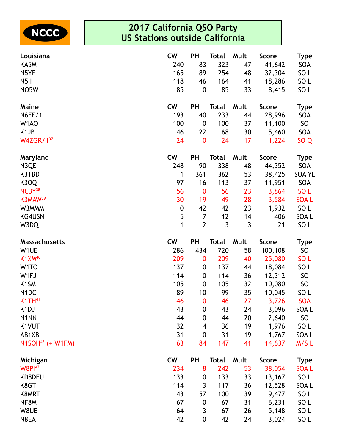

| Louisiana            | <b>CW</b>        | <b>PH</b>        | <b>Total</b> | Mult     | <b>Score</b> | <b>Type</b>                        |
|----------------------|------------------|------------------|--------------|----------|--------------|------------------------------------|
| KA5M                 | 240              | 83               | 323          | 47       | 41,642       | SOA                                |
| N5YE                 | 165              | 89               | 254          | 48       | 32,304       | SO <sub>L</sub>                    |
| N <sub>5</sub> II    | 118              | 46               | 164          | 41       | 18,286       | SO <sub>L</sub>                    |
| NO5W                 | 85               | $\boldsymbol{0}$ | 85           | 33       | 8,415        | SO <sub>L</sub>                    |
| Maine                | <b>CW</b>        | <b>PH</b>        | <b>Total</b> | Mult     | <b>Score</b> | <b>Type</b>                        |
| <b>N6EE/1</b>        | 193              | 40               | 233          | 44       | 28,996       | <b>SOA</b>                         |
| W <sub>1</sub> AO    | 100              | $\boldsymbol{0}$ | 100          | 37       | 11,100       | SO                                 |
| K <sub>1</sub> JB    | 46               | 22               | 68           | 30       | 5,460        | SOA                                |
| W4ZGR/137            | 24               | $\boldsymbol{0}$ | 24           | 17       | 1,224        | SO <sub>Q</sub>                    |
| Maryland             | <b>CW</b>        | <b>PH</b>        | <b>Total</b> | Mult     | <b>Score</b> | <b>Type</b>                        |
| N3QE                 | 248              | 90               | 338          | 48       | 44,352       | SOA                                |
| K3TBD                | 1                | 361              | 362          | 53       | 38,425       | <b>SOA YL</b>                      |
| <b>K3OQ</b>          | 97               | 16               | 113          | 37       | 11,951       | SOA                                |
| NC3Y38               | 56               | $\boldsymbol{0}$ | 56           | 23       | 3,864        | SO <sub>L</sub>                    |
| K3MAW <sup>39</sup>  | 30               | 19               | 49           | 28       | 3,584        | <b>SOAL</b>                        |
| W3MMM                | $\boldsymbol{0}$ | 42               | 42           | 23       | 1,932        | SO <sub>L</sub>                    |
| KG4USN               | 5                | $\overline{7}$   | 12           | 14       | 406          | SOA L                              |
| W3DQ                 | 1                | $\overline{2}$   | $\mathbf{3}$ | 3        | 21           | SO <sub>L</sub>                    |
| <b>Massachusetts</b> | <b>CW</b>        | <b>PH</b>        | <b>Total</b> | Mult     | <b>Score</b> | <b>Type</b>                        |
| W1UE                 | 286              | 434              | 720          | 58       | 100,108      | SO                                 |
| K1XM <sup>40</sup>   | 209              | 0                | 209          | 40       | 25,080       | SO <sub>L</sub>                    |
| W <sub>1</sub> TO    | 137              | 0                | 137          | 44       | 18,084       | SO <sub>L</sub>                    |
| W1FJ                 | 114              | $\boldsymbol{0}$ | 114          | 36       | 12,312       | SO <sub>1</sub>                    |
| K <sub>1</sub> SM    | 105              | $\boldsymbol{0}$ | 105          | 32       | 10,080       | SO                                 |
| N <sub>1</sub> DC    | 89               | 10               | 99           | 35       | 10,045       | SO <sub>L</sub>                    |
| $K1TH^{41}$          | 46               | $\bf{0}$         | 46           | 27       | 3,726        | <b>SOA</b>                         |
| K <sub>1</sub> DJ    | 43               | $\boldsymbol{0}$ | 43           | 24       | 3,096        | SOA L                              |
| N1NN                 | 44               | $\boldsymbol{0}$ | 44           | 20       | 2,640        | SO                                 |
| K1VUT                | 32               | 4                | 36           | 19       | 1,976        | SO <sub>L</sub>                    |
| AB1XB                | 31               | $\boldsymbol{0}$ | 31           | 19       | 1,767        | SOA L                              |
| $N1SOH42$ (+ W1FM)   | 63               | 84               | 147          | 41       | 14,637       | M/SL                               |
| Michigan             | <b>CW</b>        | <b>PH</b>        | <b>Total</b> | Mult     | <b>Score</b> | <b>Type</b>                        |
| W8PI <sup>43</sup>   | 234              | 8                | 242          | 53       | 38,054       | <b>SOAL</b>                        |
| KD8DEU               | 133              | 0                | 133          | 33       | 13,167       | SO <sub>L</sub>                    |
| K8GT                 | 114              | 3                | 117          | 36       | 12,528       | SOA L                              |
| K8MRT                | 43               | 57               | 100          | 39       | 9,477        | SO <sub>L</sub>                    |
| NF8M                 |                  |                  |              |          |              |                                    |
|                      | 67               | $\boldsymbol{0}$ | 67           | 31       | 6,231        | SO <sub>L</sub>                    |
| W8UE<br>N8EA         | 64<br>42         | 3                | 67<br>42     | 26<br>24 | 5,148        | SO <sub>L</sub><br>SO <sub>L</sub> |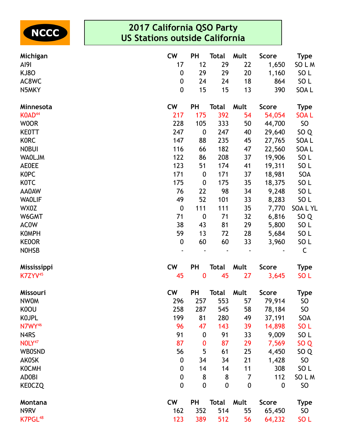

| Michigan            | <b>CW</b>        | PH               | <b>Total</b>     | Mult             | <b>Score</b>     | <b>Type</b>     |
|---------------------|------------------|------------------|------------------|------------------|------------------|-----------------|
| AI9I                | 17               | 12               | 29               | 22               | 1,650            | SO L M          |
| <b>KJ80</b>         | $\boldsymbol{0}$ | 29               | 29               | 20               | 1,160            | SO <sub>L</sub> |
| AC8WC               | 0                | 24               | 24               | 18               | 864              | SO <sub>L</sub> |
| N5MKY               | $\boldsymbol{0}$ | 15               | 15               | 13               | 390              | SOA L           |
| Minnesota           | <b>CW</b>        | <b>PH</b>        | <b>Total</b>     | Mult             | <b>Score</b>     | <b>Type</b>     |
| KOAD <sup>44</sup>  | 217              | 175              | 392              | 54               | 54,054           | <b>SOAL</b>     |
| <b>WOOR</b>         | 228              | 105              | 333              | 50               | 44,700           | SO              |
| <b>KEOTT</b>        | 247              | $\boldsymbol{0}$ | 247              | 40               | 29,640           | SO <sub>Q</sub> |
| <b>KORC</b>         | 147              | 88               | 235              | 45               | 27,765           | SOA L           |
| <b>NOBUI</b>        | 116              | 66               | 182              | 47               | 22,560           | SOA L           |
| <b>WAOLJM</b>       | 122              | 86               | 208              | 37               | 19,906           | SO <sub>L</sub> |
| <b>AE0EE</b>        | 123              | 51               | 174              | 41               | 19,311           | SO <sub>L</sub> |
| <b>KOPC</b>         | 171              | $\boldsymbol{0}$ | 171              | 37               | 18,981           | SOA             |
| K0TC                | 175              | $\boldsymbol{0}$ | 175              | 35               | 18,375           | SO <sub>L</sub> |
| AA0AW               | 76               | 22               | 98               | 34               | 9,248            | SO <sub>L</sub> |
| <b>WAOLIF</b>       | 49               | 52               | 101              | 33               | 8,283            | SO <sub>L</sub> |
| WX0Z                | $\boldsymbol{0}$ | 111              | 111              | 35               | 7,770            | <b>SOALYL</b>   |
| W6GMT               | 71               | $\boldsymbol{0}$ | 71               | 32               | 6,816            | SO <sub>Q</sub> |
| <b>ACOW</b>         | 38               | 43               | 81               | 29               | 5,800            | SO <sub>L</sub> |
| <b>KOMPH</b>        | 59               | 13               | 72               | 28               | 5,684            | SO <sub>L</sub> |
| <b>KEOOR</b>        | $\boldsymbol{0}$ | 60               | 60               | 33               | 3,960            | SO <sub>L</sub> |
| <b>NOHSB</b>        |                  |                  |                  |                  |                  | C               |
| <b>Mississippi</b>  | <b>CW</b>        | <b>PH</b>        | <b>Total</b>     | Mult             | <b>Score</b>     | <b>Type</b>     |
| K7ZYV <sup>45</sup> | 45               | $\bf{0}$         | 45               | 27               | 3,645            | SO <sub>L</sub> |
| <b>Missouri</b>     | <b>CW</b>        | PH               | <b>Total</b>     | Mult             | <b>Score</b>     | <b>Type</b>     |
| <b>NWOM</b>         | 296              | 257              | 553              | 57               | 79,914           | <b>SO</b>       |
| K0OU                | 258              | 287              | 545              | 58               | 78,184           | <b>SO</b>       |
| <b>KOJPL</b>        | 199              | 81               | 280              | 49               | 37,191           | SOA             |
| N7WY <sup>46</sup>  | 96               | 47               | 143              | 39               | 14,898           | SO <sub>L</sub> |
| N4RS                | 91               | $\boldsymbol{0}$ | 91               | 33               | 9,009            | SO <sub>L</sub> |
| NOLY <sup>47</sup>  | 87               | $\bf{0}$         | 87               | 29               | 7,569            | SO <sub>Q</sub> |
| <b>WBOSND</b>       | 56               | 5                | 61               | 25               | 4,450            | SO <sub>Q</sub> |
| <b>AKOSK</b>        | $\boldsymbol{0}$ | 34               | 34               | 21               | 1,428            | <b>SO</b>       |
| <b>KOCMH</b>        | 0                | 14               | 14               | 11               | 308              | SO <sub>L</sub> |
| <b>ADOBI</b>        | $\boldsymbol{0}$ | 8                | 8                | 7                | 112              | SO L M          |
| <b>KEOCZQ</b>       | $\boldsymbol{0}$ | $\mathbf 0$      | $\boldsymbol{0}$ | $\boldsymbol{0}$ | $\boldsymbol{0}$ | <b>SO</b>       |
| Montana             | <b>CW</b>        | <b>PH</b>        | <b>Total</b>     | Mult             | <b>Score</b>     | <b>Type</b>     |
| N9RV                | 162              | 352              | 514              | 55               | 65,450           | SO <sub>1</sub> |
| K7PGL <sup>48</sup> | 123              | 389              | 512              | 56               | 64,232           | SO <sub>L</sub> |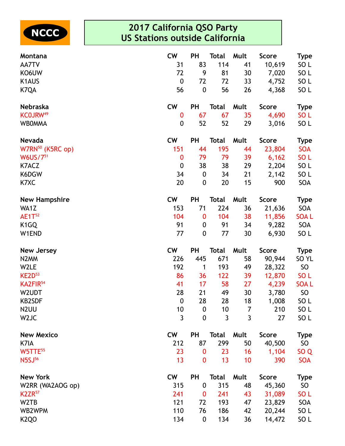

| Montana                       | <b>CW</b>        | PH               | <b>Total</b> | Mult           | <b>Score</b> | Type             |
|-------------------------------|------------------|------------------|--------------|----------------|--------------|------------------|
| AA7TV                         | 31               | 83               | 114          | 41             | 10,619       | SO L             |
| KO6UW                         | 72               | 9                | 81           | 30             | 7,020        | SO <sub>L</sub>  |
| K1AUS                         | $\boldsymbol{0}$ | 72               | 72           | 33             | 4,752        | SO <sub>L</sub>  |
| K7QA                          | 56               | $\boldsymbol{0}$ | 56           | 26             | 4,368        | SO <sub>L</sub>  |
| Nebraska                      | <b>CW</b>        | PH               | <b>Total</b> | Mult           | <b>Score</b> | <b>Type</b>      |
| KCOJRW <sup>49</sup>          | 0                | 67               | 67           | 35             | 4,690        | SO <sub>L</sub>  |
| <b>WBOMMA</b>                 | 0                | 52               | 52           | 29             | 3,016        | SO <sub>L</sub>  |
| <b>Nevada</b>                 | <b>CW</b>        | PH               | <b>Total</b> | Mult           | <b>Score</b> | <b>Type</b>      |
| W7RN <sup>50</sup> (K5RC op)  | 151              | 44               | 195          | 44             | 23,804       | <b>SOA</b>       |
| W6US/751                      | $\bf{0}$         | 79               | 79           | 39             | 6,162        | SO <sub>L</sub>  |
| K7ACZ                         | $\mathbf 0$      | 38               | 38           | 29             | 2,204        | SO <sub>L</sub>  |
| K6DGW                         | 34               | $\boldsymbol{0}$ | 34           | 21             | 2,142        | SO <sub>L</sub>  |
| K7XC                          | 20               | $\boldsymbol{0}$ | 20           | 15             | 900          | SOA              |
| <b>New Hampshire</b>          | <b>CW</b>        | PH               | <b>Total</b> | Mult           | <b>Score</b> | <b>Type</b>      |
| WA1Z                          | 153              | 71               | 224          | 36             | 21,636       | SOA              |
| $AE1T^{52}$                   | 104              | $\boldsymbol{0}$ | 104          | 38             | 11,856       | <b>SOAL</b>      |
| K <sub>1</sub> GQ             | 91               | $\boldsymbol{0}$ | 91           | 34             | 9,282        | SOA              |
| W1END                         | 77               | $\mathbf 0$      | 77           | 30             | 6,930        | SO <sub>L</sub>  |
| <b>New Jersey</b>             | <b>CW</b>        | PH               | <b>Total</b> | Mult           | <b>Score</b> | <b>Type</b>      |
| N <sub>2</sub> MM             | 226              | 445              | 671          | 58             | 90,944       | SO <sub>YL</sub> |
| W2LE                          | 192              | 1                | 193          | 49             | 28,322       | SO               |
| KE2D <sup>53</sup>            | 86               | 36               | 122          | 39             | 12,870       | SO <sub>L</sub>  |
| KA2FIR <sup>54</sup>          | 41               | 17               | 58           | 27             | 4,239        | <b>SOAL</b>      |
| W2UDT                         | 28               | 21               | 49           | 30             | 3,780        | SO               |
| <b>KB2SDF</b>                 | $\mathbf 0$      | 28               | 28           | 18             | 1,008        | SO <sub>L</sub>  |
| N <sub>2</sub> UU             | 10               | $\boldsymbol{0}$ | 10           | $\overline{7}$ | 210          | SO <sub>L</sub>  |
| W <sub>2</sub> JC             | $\mathfrak{Z}$   | $\mathbf 0$      | 3            | $\overline{3}$ | 27           | SO <sub>L</sub>  |
| <b>New Mexico</b>             | <b>CW</b>        | <b>PH</b>        | <b>Total</b> | Mult           | <b>Score</b> | Type             |
| K7IA                          | 212              | 87               | 299          | 50             | 40,500       | SO               |
| W5TTE55                       | 23               | 0                | 23           | 16             | 1,104        | SO Q             |
| N5SJ <sup>56</sup>            | 13               | $\bf{0}$         | 13           | 10             | 390          | <b>SOA</b>       |
| <b>New York</b>               | <b>CW</b>        | PH               | <b>Total</b> | Mult           | <b>Score</b> | <b>Type</b>      |
| W2RR (WA2AOG op)              | 315              | $\boldsymbol{0}$ | 315          | 48             | 45,360       | SO               |
| <b>K2ZR</b> <sup>57</sup>     | 241              | $\boldsymbol{0}$ | 241          | 43             | 31,089       | SO <sub>L</sub>  |
| W <sub>2</sub> T <sub>B</sub> | 121              | 72               | 193          | 47             | 23,829       | SOA              |
| WB2WPM                        | 110              | 76               | 186          | 42             | 20,244       | SO <sub>L</sub>  |
| K <sub>2</sub> QO             | 134              | 0                | 134          | 36             | 14,472       | SO <sub>L</sub>  |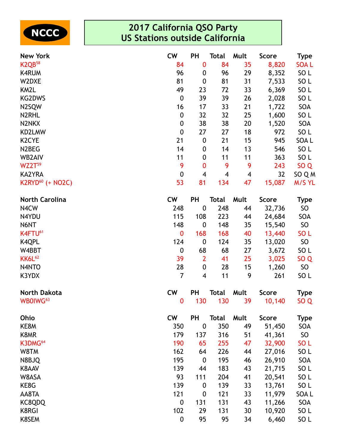

| <b>New York</b>              | <b>CW</b>        | PH                      | Total        | Mult | <b>Score</b> | Type            |
|------------------------------|------------------|-------------------------|--------------|------|--------------|-----------------|
| K <sub>2QB58</sub>           | 84               | 0                       | 84           | 35   | 8,820        | <b>SOAL</b>     |
| <b>K4RUM</b>                 | 96               | 0                       | 96           | 29   | 8,352        | SO <sub>L</sub> |
| W2DXE                        | 81               | $\boldsymbol{0}$        | 81           | 31   | 7,533        | SO <sub>L</sub> |
| KM2L                         | 49               | 23                      | 72           | 33   | 6,369        | SO <sub>L</sub> |
| <b>KG2DWS</b>                | $\boldsymbol{0}$ | 39                      | 39           | 26   | 2,028        | SO <sub>L</sub> |
| N2SQW                        | 16               | 17                      | 33           | 21   | 1,722        | SOA             |
| N2RHL                        | $\boldsymbol{0}$ | 32                      | 32           | 25   | 1,600        | SO <sub>L</sub> |
| N2NKX                        | $\boldsymbol{0}$ | 38                      | 38           | 20   | 1,520        | SOA             |
| KD2LMW                       | $\boldsymbol{0}$ | 27                      | 27           | 18   | 972          | SO <sub>L</sub> |
| K <sub>2</sub> CYE           | 21               | $\boldsymbol{0}$        | 21           | 15   | 945          | SOA L           |
| N <sub>2</sub> BEG           | 14               | 0                       | 14           | 13   | 546          | SO <sub>L</sub> |
| WB2AIV                       | 11               | 0                       | 11           | 11   | 363          | SO <sub>L</sub> |
| $WZ2T^{59}$                  | 9                | 0                       | 9            | 9    | 243          | SO <sub>Q</sub> |
| <b>KA2YRA</b>                | $\boldsymbol{0}$ | $\overline{\mathbf{4}}$ | 4            | 4    | 32           | SO Q M          |
| K2RYD <sup>60</sup> (+ NO2C) | 53               | 81                      | 134          | 47   | 15,087       | M/S YL          |
| <b>North Carolina</b>        | <b>CW</b>        | PH                      | <b>Total</b> | Mult | <b>Score</b> | <b>Type</b>     |
| N4CW                         | 248              | $\boldsymbol{0}$        | 248          | 44   | 32,736       | SO              |
| N4YDU                        | 115              | 108                     | 223          | 44   | 24,684       | SOA             |
| N6NT                         | 148              | $\boldsymbol{0}$        | 148          | 35   | 15,540       | <b>SO</b>       |
| K4FTU <sup>61</sup>          | $\bf{0}$         | 168                     | 168          | 40   | 13,440       | SO <sub>L</sub> |
| <b>K4QPL</b>                 | 124              | $\boldsymbol{0}$        | 124          | 35   | 13,020       | <b>SO</b>       |
| W4BBT                        | $\boldsymbol{0}$ | 68                      | 68           | 27   | 3,672        | SO <sub>L</sub> |
| <b>KK6L62</b>                | 39               | $\overline{2}$          | 41           | 25   | 3,025        | SO <sub>Q</sub> |
| N4NTO                        | 28               | 0                       | 28           | 15   | 1,260        | <b>SO</b>       |
| K3YDX                        | $\overline{7}$   | 4                       | 11           | 9    | 261          | SO <sub>L</sub> |
| <b>North Dakota</b>          | <b>CW</b>        | <b>PH</b>               | <b>Total</b> | Mult | <b>Score</b> | <b>Type</b>     |
| WB0IWG <sup>63</sup>         | $\bf{0}$         | 130                     | 130          | 39   | 10,140       | SO <sub>Q</sub> |
| Ohio                         | <b>CW</b>        | PH                      | <b>Total</b> | Mult | <b>Score</b> | <b>Type</b>     |
| KE8M                         | 350              | $\boldsymbol{0}$        | 350          | 49   | 51,450       | SOA             |
| K8MR                         | 179              | 137                     | 316          | 51   | 41,361       | SO              |
| K3DMG <sup>64</sup>          | 190              | 65                      | 255          | 47   | 32,900       | SO <sub>L</sub> |
| W8TM                         | 162              | 64                      | 226          | 44   | 27,016       | SO <sub>L</sub> |
| N8BJQ                        | 195              | $\boldsymbol{0}$        | 195          | 46   | 26,910       | SOA             |
| K8AAV                        | 139              | 44                      | 183          | 43   | 21,715       | SO <sub>L</sub> |
| W8ASA                        | 93               | 111                     | 204          | 41   | 20,541       | SO <sub>L</sub> |
| KE8G                         | 139              | $\boldsymbol{0}$        | 139          | 33   | 13,761       | SO <sub>L</sub> |
| AA8TA                        | 121              | $\boldsymbol{0}$        | 121          | 33   | 11,979       | SOA L           |
| KC8QDQ                       | $\boldsymbol{0}$ | 131                     | 131          | 43   | 11,266       | SOA             |
| <b>K8RGI</b>                 | 102              | 29                      | 131          | 30   | 10,920       | SO <sub>L</sub> |
| K8SEM                        | $\pmb{0}$        | 95                      | 95           | 34   | 6,460        | SO <sub>L</sub> |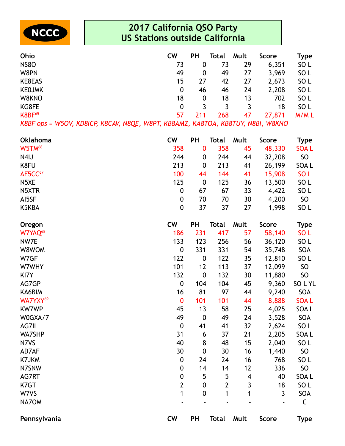

| Ohio          | <b>CW</b> | PH  | Total | Mult | Score  | Type            |
|---------------|-----------|-----|-------|------|--------|-----------------|
| <b>NS80</b>   | 73        | 0   | 73    | 29   | 6,351  | SO <sub>L</sub> |
| W8PN          | 49        | 0   | 49    | 27   | 3,969  | SO <sub>L</sub> |
| KE8EAS        | 15        | 27  | 42    | 27   | 2,673  | SO <sub>L</sub> |
| <b>KEOJMK</b> | 0         | 46  | 46    | 24   | 2,208  | SO L            |
| W8KNO         | 18        | 0   | 18    | 13   | 702    | SO <sub>L</sub> |
| KG8FE         | 0         |     |       | 3    | 18     | SO <sub>L</sub> |
| <b>K8BF65</b> | 57        | 211 | 268   | 47   | 27,871 | M/ML            |

*K8BF ops = W5OV, KD8ICP, K8CAV, N8QE, W8PT, KB8AMZ, KA8TOA, KB8TUY, N8BI, W8KNO*

| <b>Oklahoma</b>      | <b>CW</b>        | PH               | <b>Total</b> | Mult | <b>Score</b> | <b>Type</b>     |
|----------------------|------------------|------------------|--------------|------|--------------|-----------------|
| W5TM <sup>66</sup>   | 358              | $\bf{0}$         | 358          | 45   | 48,330       | <b>SOAL</b>     |
| N4IJ                 | 244              | 0                | 244          | 44   | 32,208       | SO              |
| K8FU                 | 213              | $\boldsymbol{0}$ | 213          | 41   | 26,199       | SOA L           |
| AF5CC <sup>67</sup>  | 100              | 44               | 144          | 41   | 15,908       | SO <sub>L</sub> |
| N5XE                 | 125              | $\boldsymbol{0}$ | 125          | 36   | 13,500       | SO <sub>L</sub> |
| N5XTR                | $\boldsymbol{0}$ | 67               | 67           | 33   | 4,422        | SO <sub>L</sub> |
| AI5SF                | $\boldsymbol{0}$ | 70               | 70           | 30   | 4,200        | SO              |
| K5KBA                | $\boldsymbol{0}$ | 37               | 37           | 27   | 1,998        | SO <sub>L</sub> |
| Oregon               | <b>CW</b>        | <b>PH</b>        | <b>Total</b> | Mult | <b>Score</b> | <b>Type</b>     |
| W7YAQ <sup>68</sup>  | 186              | 231              | 417          | 57   | 58,140       | SO <sub>L</sub> |
| NW7E                 | 133              | 123              | 256          | 56   | 36,120       | SO <sub>L</sub> |
| W8WOM                | $\mathbf 0$      | 331              | 331          | 54   | 35,748       | SOA             |
| W7GF                 | 122              | $\boldsymbol{0}$ | 122          | 35   | 12,810       | SO <sub>L</sub> |
| W7WHY                | 101              | 12               | 113          | 37   | 12,099       | SO              |
| KI7Y                 | 132              | $\mathbf 0$      | 132          | 30   | 11,880       | SO              |
| AG7GP                | $\boldsymbol{0}$ | 104              | 104          | 45   | 9,360        | SOLYL           |
| KA6BIM               | 16               | 81               | 97           | 44   | 9,240        | SOA             |
| WA7YXY <sup>69</sup> | $\bf{0}$         | 101              | 101          | 44   | 8,888        | <b>SOAL</b>     |
| <b>KW7WP</b>         | 45               | 13               | 58           | 25   | 4,025        | SOA L           |
| W0GXA/7              | 49               | $\boldsymbol{0}$ | 49           | 24   | 3,528        | SOA             |
| AG7IL                | $\boldsymbol{0}$ | 41               | 41           | 32   | 2,624        | SO <sub>L</sub> |
| WA7SHP               | 31               | 6                | 37           | 21   | 2,205        | SOA L           |
| N7VS                 | 40               | 8                | 48           | 15   | 2,040        | SO <sub>L</sub> |
| AD7AF                | 30               | $\boldsymbol{0}$ | 30           | 16   | 1,440        | SO              |
| K7JKM                | $\boldsymbol{0}$ | 24               | 24           | 16   | 768          | SO <sub>L</sub> |

N7SNW 0 14 14 12 336 SO

AG7RT 0 5 5 4 40 SOA L K7GT 2 0 2 3 18 SO L W7VS 1 0 1 1 3 SOA NA7OM - - - - - C

**Pennsylvania CW PH Total Mult Score Type**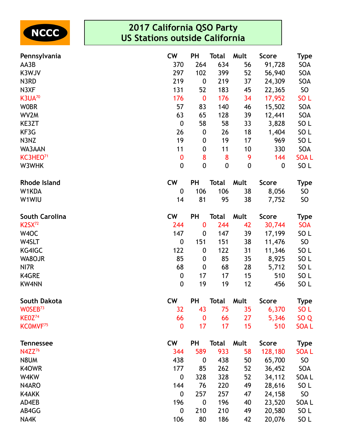

| Pennsylvania          | <b>CW</b>        | <b>PH</b>        | <b>Total</b>     | Mult             | <b>Score</b> | Type            |
|-----------------------|------------------|------------------|------------------|------------------|--------------|-----------------|
| AA3B                  | 370              | 264              | 634              | 56               | 91,728       | SOA             |
| K3WJV                 | 297              | 102              | 399              | 52               | 56,940       | SOA             |
| N3RD                  | 219              | $\boldsymbol{0}$ | 219              | 37               | 24,309       | SOA             |
| N3XF                  | 131              | 52               | 183              | 45               | 22,365       | SO              |
| K3UA <sup>70</sup>    | 176              | $\bf{0}$         | 176              | 34               | 17,952       | SO <sub>L</sub> |
| <b>WOBR</b>           | 57               | 83               | 140              | 46               | 15,502       | SOA             |
| WV2M                  | 63               | 65               | 128              | 39               | 12,441       | SOA             |
| KE3ZT                 | $\boldsymbol{0}$ | 58               | 58               | 33               | 3,828        | SO <sub>L</sub> |
| KF3G                  | 26               | $\boldsymbol{0}$ | 26               | 18               | 1,404        | SO <sub>L</sub> |
| N3NZ                  | 19               | $\pmb{0}$        | 19               | 17               | 969          | SO <sub>L</sub> |
| WA3AAN                | 11               | 0                | 11               | 10               | 330          | SOA             |
| KC3HEO <sup>71</sup>  | $\bf{0}$         | 8                | 8                | 9                | 144          | <b>SOAL</b>     |
| W3WHK                 | $\mathbf 0$      | $\boldsymbol{0}$ | $\boldsymbol{0}$ | $\boldsymbol{0}$ | 0            | SO L            |
| <b>Rhode Island</b>   | <b>CW</b>        | <b>PH</b>        | <b>Total</b>     | Mult             | <b>Score</b> | Type            |
| W1KDA                 | 0                | 106              | 106              | 38               | 8,056        | SO.             |
| W1WIU                 | 14               | 81               | 95               | 38               | 7,752        | SO              |
| <b>South Carolina</b> | <b>CW</b>        | PH               | <b>Total</b>     | Mult             | <b>Score</b> | <b>Type</b>     |
| <b>K2SX72</b>         | 244              | $\bf{0}$         | 244              | 42               | 30,744       | <b>SOA</b>      |
| W <sub>4</sub> OC     | 147              | $\boldsymbol{0}$ | 147              | 39               | 17,199       | SO <sub>L</sub> |
| W4SLT                 | $\boldsymbol{0}$ | 151              | 151              | 38               | 11,476       | SO              |
| KG4IGC                | 122              | $\boldsymbol{0}$ | 122              | 31               | 11,346       | SO <sub>L</sub> |
| WA8OJR                | 85               | 0                | 85               | 35               | 8,925        | SO <sub>L</sub> |
| NI7R                  | 68               | $\boldsymbol{0}$ | 68               | 28               | 5,712        | SO <sub>L</sub> |
| K4GRE                 | $\boldsymbol{0}$ | 17               | 17               | 15               | 510          | SO <sub>L</sub> |
| <b>KW4NN</b>          | $\boldsymbol{0}$ | 19               | 19               | 12               | 456          | SO <sub>L</sub> |
| South Dakota          | <b>CW</b>        | PH               | <b>Total</b>     | Mult             | <b>Score</b> | <b>Type</b>     |
| WOSEB <sup>73</sup>   | 32               | 43               | 75               | 35               | 6,370        | SO <sub>L</sub> |
| KE0Z <sub>74</sub>    | 66               | $\bf{0}$         | 66               | 27               | 5,346        | SO <sub>Q</sub> |
| KCOMVF <sup>75</sup>  | $\bf{0}$         | 17               | 17               | 15               | 510          | <b>SOAL</b>     |
| <b>Tennessee</b>      | <b>CW</b>        | <b>PH</b>        | <b>Total</b>     | Mult             | <b>Score</b> | <b>Type</b>     |
| N4ZZ <sup>76</sup>    | 344              | 589              | 933              | 58               | 128,180      | <b>SOAL</b>     |
| N8UM                  | 438              | 0                | 438              | 50               | 65,700       | SO              |
| K40WR                 | 177              | 85               | 262              | 52               | 36,452       | SOA             |
| W4KW                  | $\boldsymbol{0}$ | 328              | 328              | 52               | 34,112       | SOA L           |
| N4ARO                 | 144              | 76               | 220              | 49               | 28,616       | SO <sub>L</sub> |
| <b>K4AKK</b>          | $\boldsymbol{0}$ | 257              | 257              | 47               | 24,158       | SO              |
| AD4EB                 | 196              | $\boldsymbol{0}$ | 196              | 40               | 23,520       | SOA L           |
| AB4GG                 | $\boldsymbol{0}$ | 210              | 210              | 49               | 20,580       | SO <sub>L</sub> |
| NA4K                  | 106              | 80               | 186              | 42               | 20,076       | SO <sub>L</sub> |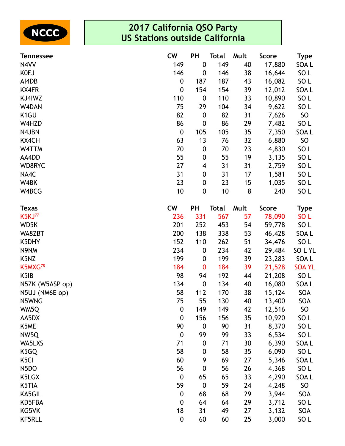

| <b>Tennessee</b>    | <b>CW</b>        | PH               | <b>Total</b> | Mult | <b>Score</b> | <b>Type</b>     |
|---------------------|------------------|------------------|--------------|------|--------------|-----------------|
| N4VV                | 149              | $\boldsymbol{0}$ | 149          | 40   | 17,880       | SOA L           |
| <b>KOEJ</b>         | 146              | 0                | 146          | 38   | 16,644       | SO L            |
| AI4DB               | $\boldsymbol{0}$ | 187              | 187          | 43   | 16,082       | SO <sub>L</sub> |
| <b>KX4FR</b>        | $\boldsymbol{0}$ | 154              | 154          | 39   | 12,012       | SOA L           |
| KJ4IWZ              | 110              | 0                | 110          | 33   | 10,890       | SO <sub>L</sub> |
| W4DAN               | 75               | 29               | 104          | 34   | 9,622        | SO <sub>L</sub> |
| K <sub>1</sub> GU   | 82               | $\boldsymbol{0}$ | 82           | 31   | 7,626        | <b>SO</b>       |
| W4HZD               | 86               | $\boldsymbol{0}$ | 86           | 29   | 7,482        | SO <sub>L</sub> |
| N4JBN               | $\boldsymbol{0}$ | 105              | 105          | 35   | 7,350        | SOA L           |
| <b>KX4CH</b>        | 63               | 13               | 76           | 32   | 6,880        | <b>SO</b>       |
| W4TTM               | 70               | 0                | 70           | 23   | 4,830        | SO <sub>L</sub> |
| AA4DD               | 55               | 0                | 55           | 19   | 3,135        | SO <sub>L</sub> |
| WD8RYC              | 27               | 4                | 31           | 31   | 2,759        | SO <sub>L</sub> |
| NA4C                | 31               | 0                | 31           | 17   | 1,581        | SO <sub>L</sub> |
| W4BK                | 23               | 0                | 23           | 15   | 1,035        | SO <sub>L</sub> |
| W4BCG               | 10               | 0                | 10           | 8    | 240          | SO <sub>L</sub> |
| <b>Texas</b>        | <b>CW</b>        | <b>PH</b>        | <b>Total</b> | Mult | <b>Score</b> | <b>Type</b>     |
| <b>K5KJ77</b>       | 236              | 331              | 567          | 57   | 78,090       | SO <sub>L</sub> |
| WD5K                | 201              | 252              | 453          | 54   | 59,778       | SO L            |
| WA8ZBT              | 200              | 138              | 338          | 53   | 46,428       | SOA L           |
| K5DHY               | 152              | 110              | 262          | 51   | 34,476       | SO L            |
| N9NM                | 234              | 0                | 234          | 42   | 29,484       | SOLYL           |
| K5NZ                | 199              | 0                | 199          | 39   | 23,283       | SOA L           |
| K5MXG <sup>78</sup> | 184              | 0                | 184          | 39   | 21,528       | <b>SOA YL</b>   |
| K <sub>5</sub> IB   | 98               | 94               | 192          | 44   | 21,208       | SO L            |
| N5ZK (W5ASP op)     | 134              | $\boldsymbol{0}$ | 134          | 40   | 16,080       | SOA L           |
| N5UJ (NM6E op)      | 58               | 112              | 170          | 38   | 15,124       | SOA             |
| N5WNG               | 75               | 55               | 130          | 40   | 13,400       | <b>SOA</b>      |
| WM5Q                | $\boldsymbol{0}$ | 149              | 149          | 42   | 12,516       | <b>SO</b>       |
| AA5DX               | $\boldsymbol{0}$ | 156              | 156          | 35   | 10,920       | SO <sub>L</sub> |
| K5ME                | 90               | $\boldsymbol{0}$ | 90           | 31   | 8,370        | SO <sub>L</sub> |
| NW5Q                | $\boldsymbol{0}$ | 99               | 99           | 33   | 6,534        | SO <sub>L</sub> |
| WA5LXS              | 71               | 0                | 71           | 30   | 6,390        | SOA L           |
| K5GQ                | 58               | 0                | 58           | 35   | 6,090        | SO <sub>L</sub> |
| K <sub>5</sub> CI   | 60               | 9                | 69           | 27   | 5,346        | SOA L           |
| N <sub>5</sub> DO   | 56               | 0                | 56           | 26   | 4,368        | SO <sub>L</sub> |
| K5LGX               | $\boldsymbol{0}$ | 65               | 65           | 33   | 4,290        | SOA L           |
| K5TIA               | 59               | $\boldsymbol{0}$ | 59           | 24   | 4,248        | <b>SO</b>       |
| KA5GIL              | $\boldsymbol{0}$ | 68               | 68           | 29   | 3,944        | SOA             |
| KD5FBA              | $\boldsymbol{0}$ | 64               | 64           | 29   | 3,712        | SO <sub>L</sub> |
| KG5VK               | 18               | 31               | 49           | 27   | 3,132        | SOA             |
| <b>KF5RLL</b>       | $\boldsymbol{0}$ | 60               | 60           | 25   | 3,000        | SO <sub>L</sub> |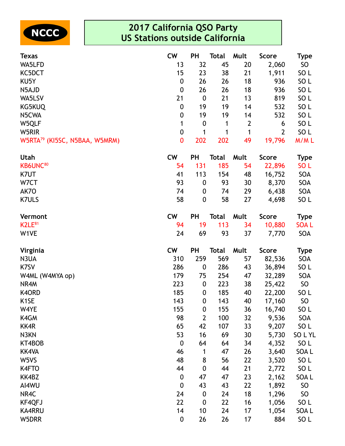

| <b>Texas</b>                              | <b>CW</b>        | PH               | Total        | Mult         | <b>Score</b>   | <b>Type</b>     |
|-------------------------------------------|------------------|------------------|--------------|--------------|----------------|-----------------|
| WA5LFD                                    | 13               | 32               | 45           | 20           | 2,060          | <b>SO</b>       |
| KC5DCT                                    | 15               | 23               | 38           | 21           | 1,911          | SO <sub>L</sub> |
| KU5Y                                      | $\boldsymbol{0}$ | 26               | 26           | 18           | 936            | SO <sub>L</sub> |
| N5AJD                                     | $\boldsymbol{0}$ | 26               | 26           | 18           | 936            | SO <sub>L</sub> |
| WA5LSV                                    | 21               | $\boldsymbol{0}$ | 21           | 13           | 819            | SO <sub>L</sub> |
| KG5KUQ                                    | $\boldsymbol{0}$ | 19               | 19           | 14           | 532            | SO <sub>L</sub> |
| N5CWA                                     | $\boldsymbol{0}$ | 19               | 19           | 14           | 532            | SO <sub>L</sub> |
| W5QLF                                     | 1                | $\boldsymbol{0}$ | 1            | $\mathbf{2}$ | 6              | SO <sub>L</sub> |
| W5RIR                                     | $\pmb{0}$        | 1                | 1            | 1            | $\overline{2}$ | SO <sub>L</sub> |
| W5RTA <sup>79</sup> (KI5SC, N5BAA, W5MRM) | $\mathbf 0$      | 202              | 202          | 49           | 19,796         | M/ML            |
| Utah                                      | <b>CW</b>        | <b>PH</b>        | <b>Total</b> | Mult         | <b>Score</b>   | <b>Type</b>     |
| KB6UNC <sup>80</sup>                      | 54               | 131              | 185          | 54           | 22,896         | SO <sub>L</sub> |
| K7UT                                      | 41               | 113              | 154          | 48           | 16,752         | SOA             |
| W7CT                                      | 93               | $\boldsymbol{0}$ | 93           | 30           | 8,370          | SOA             |
| AK7O                                      | 74               | $\boldsymbol{0}$ | 74           | 29           | 6,438          | <b>SOA</b>      |
| <b>K7ULS</b>                              | 58               | $\boldsymbol{0}$ | 58           | 27           | 4,698          | SO <sub>L</sub> |
| Vermont                                   | <b>CW</b>        | <b>PH</b>        | <b>Total</b> | Mult         | <b>Score</b>   | <b>Type</b>     |
| K2LE <sup>81</sup>                        | 94               | 19               | 113          | 34           | 10,880         | <b>SOAL</b>     |
| W1VE                                      | 24               | 69               | 93           | 37           | 7,770          | SOA             |
| Virginia                                  | <b>CW</b>        | <b>PH</b>        | <b>Total</b> | Mult         | <b>Score</b>   | <b>Type</b>     |
| N3UA                                      | 310              | 259              | 569          | 57           | 82,536         | <b>SOA</b>      |
| K7SV                                      | 286              | $\boldsymbol{0}$ | 286          | 43           | 36,894         | SO <sub>L</sub> |
| W4ML (W4MYA op)                           | 179              | 75               | 254          | 47           | 32,289         | SOA             |
| NR4M                                      | 223              | $\boldsymbol{0}$ | 223          | 38           | 25,422         | <b>SO</b>       |
| K4ORD                                     | 185              | $\boldsymbol{0}$ | 185          | 40           | 22,200         | SO <sub>L</sub> |
| K <sub>1</sub> SE                         | 143              | $\boldsymbol{0}$ | 143          | 40           | 17,160         | SO              |
| W4YE                                      | 155              | $\boldsymbol{0}$ | 155          | 36           | 16,740         | SO <sub>L</sub> |
| K4GM                                      | 98               | $\overline{2}$   | 100          | 32           | 9,536          | SOA             |
| KK4R                                      | 65               | 42               | 107          | 33           | 9,207          | SO <sub>L</sub> |
| N3KN                                      | 53               | 16               | 69           | 30           | 5,730          | SOLYL           |
| KT4BOB                                    | $\boldsymbol{0}$ | 64               | 64           | 34           | 4,352          | SO <sub>L</sub> |
| <b>KK4VA</b>                              | 46               | 1                | 47           | 26           | 3,640          | SOA L           |
| W5VS                                      | 48               | 8                | 56           | 22           | 3,520          | SO <sub>L</sub> |
| K4FTO                                     | 44               | $\pmb{0}$        | 44           | 21           | 2,772          | SO <sub>L</sub> |
| KK4BZ                                     | $\boldsymbol{0}$ | 47               | 47           | 23           | 2,162          | SOA L           |
| AI4WU                                     | $\mathbf 0$      | 43               | 43           | 22           | 1,892          | SO              |
| NR4C                                      | 24               | $\boldsymbol{0}$ | 24           | 18           | 1,296          | <b>SO</b>       |
| KF4QFJ                                    | 22               | $\boldsymbol{0}$ | 22           | 16           | 1,056          | SO <sub>L</sub> |
| <b>KA4RRU</b>                             | 14               | 10               | 24           | 17           | 1,054          | SOA L           |
| W5DRR                                     | $\pmb{0}$        | 26               | 26           | 17           | 884            | SO <sub>L</sub> |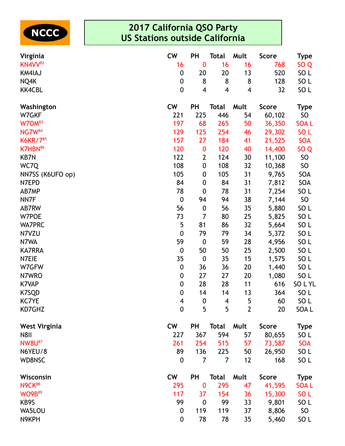

| Virginia             | <b>CW</b>               | PH                      | <b>Total</b>   | Mult           | <b>Score</b> | <b>Type</b>     |
|----------------------|-------------------------|-------------------------|----------------|----------------|--------------|-----------------|
| KN4VV <sup>82</sup>  | 16                      | $\bf{0}$                | 16             | 16             | 768          | SO <sub>Q</sub> |
| <b>KM4IAJ</b>        | $\boldsymbol{0}$        | 20                      | 20             | 13             | 520          | SO <sub>L</sub> |
| NQ4K                 | $\boldsymbol{0}$        | 8                       | 8              | 8              | 128          | SO <sub>L</sub> |
| <b>KK4CBL</b>        | $\boldsymbol{0}$        | $\overline{\mathbf{4}}$ | 4              | 4              | 32           | SO <sub>L</sub> |
| Washington           | <b>CW</b>               | <b>PH</b>               | <b>Total</b>   | Mult           | <b>Score</b> | Type            |
| W7GKF                | 221                     | 225                     | 446            | 54             | 60,102       | <b>SO</b>       |
| W7OM <sup>83</sup>   | 197                     | 68                      | 265            | 50             | 36,350       | <b>SOAL</b>     |
| <b>NG7W</b> 84       | 129                     | 125                     | 254            | 46             | 29,302       | SO <sub>L</sub> |
| K6KR/785             | 157                     | 27                      | 184            | 41             | 21,525       | <b>SOA</b>      |
| K7HBN <sup>86</sup>  | 120                     | $\bf{0}$                | 120            | 40             | 14,400       | SO <sub>Q</sub> |
| <b>KB7N</b>          | 122                     | $\overline{2}$          | 124            | 30             | 11,100       | <b>SO</b>       |
| WC7Q                 | 108                     | 0                       | 108            | 32             | 10,368       | <b>SO</b>       |
| NN7SS (K6UFO op)     | 105                     | $\boldsymbol{0}$        | 105            | 31             | 9,765        | SOA             |
| N7EPD                | 84                      | 0                       | 84             | 31             | 7,812        | SOA             |
| AB7MP                | 78                      | $\boldsymbol{0}$        | 78             | 31             | 7,254        | SO <sub>L</sub> |
| NN7F                 | $\boldsymbol{0}$        | 94                      | 94             | 38             | 7,144        | <b>SO</b>       |
| AB7RW                | 56                      | $\boldsymbol{0}$        | 56             | 35             | 5,880        | SO <sub>L</sub> |
| W7POE                | 73                      | 7                       | 80             | 25             | 5,825        | SO <sub>L</sub> |
| <b>WA7PRC</b>        | 5                       | 81                      | 86             | 32             | 5,664        | SO <sub>L</sub> |
| N7VZU                | $\boldsymbol{0}$        | 79                      | 79             | 34             | 5,372        | SO <sub>L</sub> |
| N7WA                 | 59                      | $\boldsymbol{0}$        | 59             | 28             | 4,956        | SO <sub>L</sub> |
| <b>KA7RRA</b>        | $\boldsymbol{0}$        | 50                      | 50             | 25             | 2,500        | SO <sub>L</sub> |
| N7EIE                | 35                      | $\boldsymbol{0}$        | 35             | 15             | 1,575        | SO <sub>L</sub> |
| W7GFW                | $\boldsymbol{0}$        | 36                      | 36             | 20             | 1,440        | SO <sub>L</sub> |
| N7WRO                | $\boldsymbol{0}$        | 27                      | 27             | 20             | 1,080        | SO <sub>L</sub> |
| <b>K7VAP</b>         | $\boldsymbol{0}$        | 28                      | 28             | 11             | 616          | SOLYL           |
| K7SQD                | $\boldsymbol{0}$        | 14                      | 14             | 13             | 364          | SO <sub>L</sub> |
| <b>KC7YE</b>         | $\overline{\mathbf{4}}$ | $\boldsymbol{0}$        | $\overline{4}$ | 5              | 60           | SO <sub>L</sub> |
| KD7GHZ               | $\boldsymbol{0}$        | 5                       | 5              | $\overline{2}$ | 20           | SOA L           |
| <b>West Virginia</b> | <b>CW</b>               | <b>PH</b>               | <b>Total</b>   | Mult           | <b>Score</b> | <b>Type</b>     |
| <b>N8II</b>          | 227                     | 367                     | 594            | 57             | 80,655       | SO <sub>L</sub> |
| <b>NW8U87</b>        | 261                     | 254                     | 515            | 57             | 73,587       | <b>SOA</b>      |
| N6YEU/8              | 89                      | 136                     | 225            | 50             | 26,950       | SO <sub>L</sub> |
| <b>WD8NSC</b>        | 0                       | 7                       | 7              | 12             | 168          | SO <sub>L</sub> |
| Wisconsin            | <b>CW</b>               | <b>PH</b>               | <b>Total</b>   | Mult           | <b>Score</b> | <b>Type</b>     |
| <b>N9CK88</b>        | 295                     | $\bf{0}$                | 295            | 47             | 41,595       | <b>SOAL</b>     |
| <b>WO9B</b> 89       | 117                     | 37                      | 154            | 36             | 15,300       | SO <sub>L</sub> |
| KB9S                 | 99                      | $\boldsymbol{0}$        | 99             | 33             | 9,801        | SO <sub>L</sub> |
| WA5LOU               | $\boldsymbol{0}$        | 119                     | 119            | 37             | 8,806        | SO              |
| N9KPH                | $\boldsymbol{0}$        | 78                      | 78             | 35             | 5,460        | SO <sub>L</sub> |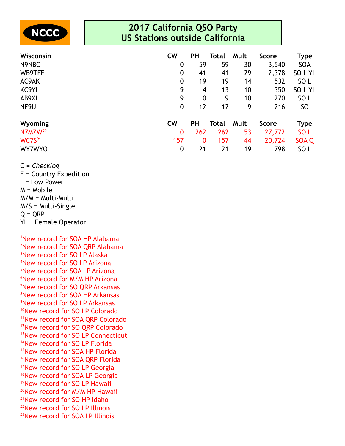

| Wisconsin                 | <b>CW</b>        | <b>PH</b>        | Total | Mult | <b>Score</b> | <b>Type</b>     |
|---------------------------|------------------|------------------|-------|------|--------------|-----------------|
| N9NBC                     | 0                | 59               | 59    | 30   | 3,540        | <b>SOA</b>      |
| WB9TFF                    | $\boldsymbol{0}$ | 41               | 41    | 29   | 2,378        | SOLYL           |
| AC9AK                     | 0                | 19               | 19    | 14   | 532          | SO <sub>L</sub> |
| KC9YL                     | 9                | 4                | 13    | 10   | 350          | SOLYL           |
| AB9XI                     | 9                | $\boldsymbol{0}$ | 9     | 10   | 270          | SO <sub>L</sub> |
| NF9U                      | $\boldsymbol{0}$ | 12               | 12    | 9    | 216          | SO.             |
| Wyoming                   | <b>CW</b>        | <b>PH</b>        | Total | Mult | <b>Score</b> | <b>Type</b>     |
| N7MZW <sup>90</sup>       | 0                | 262              | 262   | 53   | 27,772       | SO <sub>L</sub> |
| <b>WC7S</b> <sup>91</sup> | 157              | $\mathbf{0}$     | 157   | 44   | 20,724       | SOA Q           |
| <b>WY7WYO</b>             | $\boldsymbol{0}$ | 21               | 21    | 19   | 798          | SO <sub>L</sub> |

C = *Checklog*

E = Country Expedition L = Low Power M = Mobile M/M = Multi-Multi M/S = Multi-Single  $Q = QRP$ YL = Female Operator

New record for SOA HP Alabama New record for SOA QRP Alabama New record for SO LP Alaska New record for SO LP Arizona New record for SOA LP Arizona <sup>6</sup>New record for M/M HP Arizona New record for SO QRP Arkansas New record for SOA HP Arkansas New record for SO LP Arkansas <sup>10</sup>New record for SO LP Colorado New record for SOA QRP Colorado New record for SO QRP Colorado <sup>13</sup>New record for SO LP Connecticut New record for SO LP Florida New record for SOA HP Florida <sup>16</sup>New record for SOA QRP Florida New record for SO LP Georgia New record for SOA LP Georgia New record for SO LP Hawaii New record for M/M HP Hawaii New record for SO HP Idaho New record for SO LP Illinois New record for SOA LP Illinois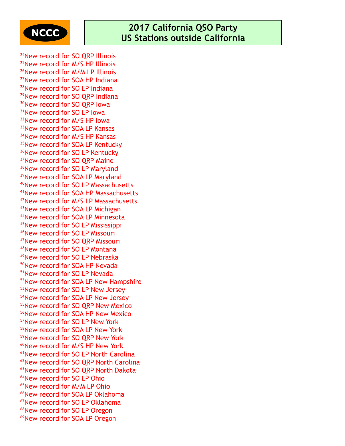

<sup>24</sup>New record for SO QRP Illinois New record for M/S HP Illinois New record for M/M LP Illinois New record for SOA HP Indiana New record for SO LP Indiana <sup>29</sup>New record for SO ORP Indiana <sup>30</sup>New record for SO QRP lowa <sup>31</sup>New record for SO LP lowa New record for M/S HP Iowa New record for SOA LP Kansas 34New record for M/S HP Kansas <sup>35</sup>New record for SOA LP Kentucky <sup>36</sup>New record for SO LP Kentucky <sup>37</sup>New record for SO QRP Maine 38New record for SO LP Maryland <sup>39</sup>New record for SOA LP Maryland New record for SO LP Massachusetts New record for SOA HP Massachusetts New record for M/S LP Massachusetts New record for SOA LP Michigan New record for SOA LP Minnesota New record for SO LP Mississippi New record for SO LP Missouri New record for SO QRP Missouri New record for SO LP Montana New record for SO LP Nebraska New record for SOA HP Nevada New record for SO LP Nevada <sup>52</sup>New record for SOA LP New Hampshire 53New record for SO LP New Jersey New record for SOA LP New Jersey New record for SO QRP New Mexico <sup>56</sup>New record for SOA HP New Mexico New record for SO LP New York New record for SOA LP New York New record for SO QRP New York New record for M/S HP New York New record for SO LP North Carolina New record for SO QRP North Carolina <sup>63</sup>New record for SO QRP North Dakota New record for SO LP Ohio New record for M/M LP Ohio New record for SOA LP Oklahoma New record for SO LP Oklahoma New record for SO LP Oregon New record for SOA LP Oregon